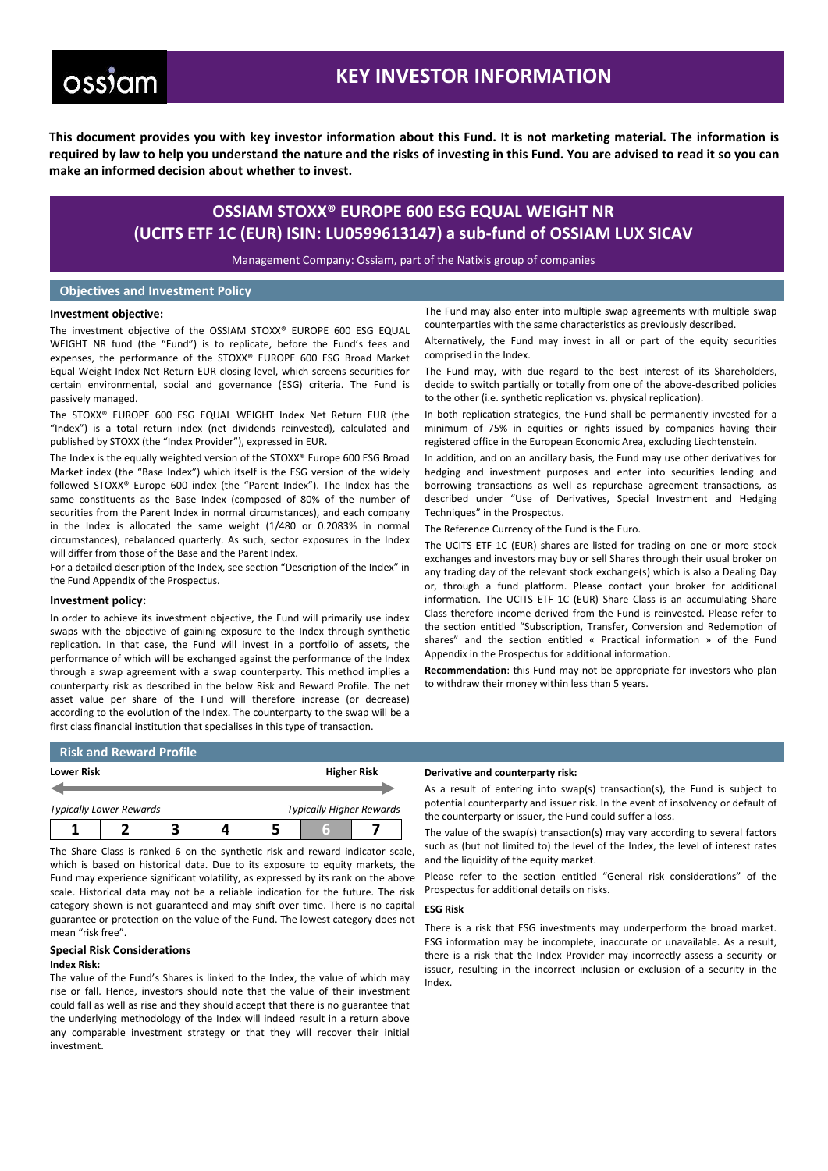# ossiam

## **KEY INVESTOR INFORMATION**

**This document provides you with key investor information about this Fund. It is not marketing material. The information is required by law to help you understand the nature and the risks of investing in this Fund. You are advised to read it so you can make an informed decision about whether to invest.**

## **OSSIAM STOXX® EUROPE 600 ESG EQUAL WEIGHT NR (UCITS ETF 1C (EUR) ISIN: LU0599613147) a sub-fund of OSSIAM LUX SICAV**

Management Company: Ossiam, part of the Natixis group of companies

### **Objectives and Investment Policy**

#### **Investment objective:**

The investment objective of the OSSIAM STOXX® EUROPE 600 ESG EQUAL WEIGHT NR fund (the "Fund") is to replicate, before the Fund's fees and expenses, the performance of the STOXX® EUROPE 600 ESG Broad Market Equal Weight Index Net Return EUR closing level, which screens securities for certain environmental, social and governance (ESG) criteria. The Fund is passively managed.

The STOXX® EUROPE 600 ESG EQUAL WEIGHT Index Net Return EUR (the "Index") is a total return index (net dividends reinvested), calculated and published by STOXX (the "Index Provider"), expressed in EUR.

The Index is the equally weighted version of the STOXX® Europe 600 ESG Broad Market index (the "Base Index") which itself is the ESG version of the widely followed STOXX® Europe 600 index (the "Parent Index"). The Index has the same constituents as the Base Index (composed of 80% of the number of securities from the Parent Index in normal circumstances), and each company in the Index is allocated the same weight (1/480 or 0.2083% in normal circumstances), rebalanced quarterly. As such, sector exposures in the Index will differ from those of the Base and the Parent Index.

For a detailed description of the Index, see section "Description of the Index" in the Fund Appendix of the Prospectus.

#### **Investment policy:**

In order to achieve its investment objective, the Fund will primarily use index swaps with the objective of gaining exposure to the Index through synthetic replication. In that case, the Fund will invest in a portfolio of assets, the performance of which will be exchanged against the performance of the Index through a swap agreement with a swap counterparty. This method implies a counterparty risk as described in the below Risk and Reward Profile. The net asset value per share of the Fund will therefore increase (or decrease) according to the evolution of the Index. The counterparty to the swap will be a first class financial institution that specialises in this type of transaction.

The Fund may also enter into multiple swap agreements with multiple swap counterparties with the same characteristics as previously described.

Alternatively, the Fund may invest in all or part of the equity securities comprised in the Index.

The Fund may, with due regard to the best interest of its Shareholders, decide to switch partially or totally from one of the above-described policies to the other (i.e. synthetic replication vs. physical replication).

In both replication strategies, the Fund shall be permanently invested for a minimum of 75% in equities or rights issued by companies having their registered office in the European Economic Area, excluding Liechtenstein.

In addition, and on an ancillary basis, the Fund may use other derivatives for hedging and investment purposes and enter into securities lending and borrowing transactions as well as repurchase agreement transactions, as described under "Use of Derivatives, Special Investment and Hedging Techniques" in the Prospectus.

The Reference Currency of the Fund is the Euro.

The UCITS ETF 1C (EUR) shares are listed for trading on one or more stock exchanges and investors may buy or sell Shares through their usual broker on any trading day of the relevant stock exchange(s) which is also a Dealing Day or, through a fund platform. Please contact your broker for additional information. The UCITS ETF 1C (EUR) Share Class is an accumulating Share Class therefore income derived from the Fund is reinvested. Please refer to the section entitled "Subscription, Transfer, Conversion and Redemption of shares" and the section entitled « Practical information » of the Fund Appendix in the Prospectus for additional information.

**Recommendation**: this Fund may not be appropriate for investors who plan to withdraw their money within less than 5 years.

|            | <b>Risk and Reward Profile</b> |  |  |                    |                                 |  |
|------------|--------------------------------|--|--|--------------------|---------------------------------|--|
| Lower Risk |                                |  |  | <b>Higher Risk</b> |                                 |  |
|            | <b>Typically Lower Rewards</b> |  |  |                    | <b>Typically Higher Rewards</b> |  |
|            |                                |  |  |                    |                                 |  |

The Share Class is ranked 6 on the synthetic risk and reward indicator scale, which is based on historical data. Due to its exposure to equity markets, the Fund may experience significant volatility, as expressed by its rank on the above scale. Historical data may not be a reliable indication for the future. The risk category shown is not guaranteed and may shift over time. There is no capital guarantee or protection on the value of the Fund. The lowest category does not mean "risk free".

#### **Special Risk Considerations Index Risk:**

The value of the Fund's Shares is linked to the Index, the value of which may rise or fall. Hence, investors should note that the value of their investment could fall as well as rise and they should accept that there is no guarantee that the underlying methodology of the Index will indeed result in a return above any comparable investment strategy or that they will recover their initial investment.

#### **Derivative and counterparty risk:**

As a result of entering into swap(s) transaction(s), the Fund is subject to potential counterparty and issuer risk. In the event of insolvency or default of the counterparty or issuer, the Fund could suffer a loss.

The value of the swap(s) transaction(s) may vary according to several factors such as (but not limited to) the level of the Index, the level of interest rates and the liquidity of the equity market.

Please refer to the section entitled "General risk considerations" of the Prospectus for additional details on risks.

#### **ESG Risk**

There is a risk that ESG investments may underperform the broad market. ESG information may be incomplete, inaccurate or unavailable. As a result, there is a risk that the Index Provider may incorrectly assess a security or issuer, resulting in the incorrect inclusion or exclusion of a security in the Index.